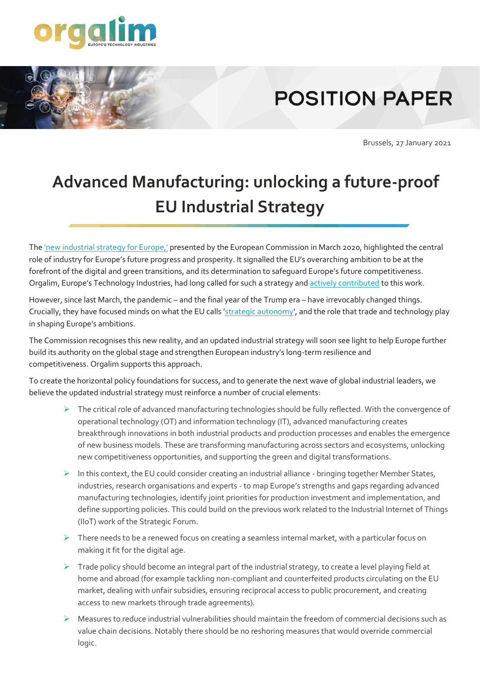

## **POSITION PAPER**

Brussels, 27 January 2021

## **Advanced Manufacturing: unlocking a future-proof EU Industrial Strategy**

The ['new industrial strategy for Europe,'](https://eur-lex.europa.eu/legal-content/EN/TXT/?qid=1593086905382&uri=CELEX:52020DC0102) presented by the European Commission in March 2020, highlighted the central role of industry for Europe's future progress and prosperity. It signalled the EU's overarching ambition to be at the forefront of the digital and green transitions, and its determination to safeguard Europe's future competitiveness. Orgalim, Europe's Technology Industries, had long called for such a strategy and [actively contributed](https://orgalim.eu/position-papers/eu-industrial-strategy-unlocking-power-industrial-innovation-create-prosperous) to this work.

However, since last March, the pandemic – and the final year of the Trump era – have irrevocably changed things. Crucially, they have focused minds on what the EU calls ['strategic autonomy'](https://orgalim.eu/insights/dgs-desk-autonomy-conundrum), and the role that trade and technology play in shaping Europe's ambitions.

The Commission recognises this new reality, and an updated industrial strategy will soon see light to help Europe further build its authority on the global stage and strengthen European industry's long-term resilience and competitiveness. Orgalim supports this approach.

To create the horizontal policy foundations for success, and to generate the next wave of global industrial leaders, we believe the updated industrial strategy must reinforce a number of crucial elements:

- ➢ The critical role of advanced manufacturing technologies should be fully reflected. With the convergence of operational technology (OT) and information technology (IT), advanced manufacturing creates breakthrough innovations in both industrial products and production processes and enables the emergence of new business models. These are transforming manufacturing across sectors and ecosystems, unlocking new competitiveness opportunities, and supporting the green and digital transformations.
- ➢ In this context, the EU could consider creating an industrial alliance bringing together Member States, industries, research organisations and experts - to map Europe's strengths and gaps regarding advanced manufacturing technologies, identify joint priorities for production investment and implementation, and define supporting policies. This could build on the previous work related to the Industrial Internet of Things (IIoT) work of the Strategic Forum.
- $\triangleright$  There needs to be a renewed focus on creating a seamless internal market, with a particular focus on making it fit for the digital age.
- $\triangleright$  Trade policy should become an integral part of the industrial strategy, to create a level playing field at home and abroad (for example tackling non-compliant and counterfeited products circulating on the EU market, dealing with unfair subsidies, ensuring reciprocal access to public procurement, and creating access to new markets through trade agreements).
- ➢ Measures to reduce industrial vulnerabilities should maintain the freedom of commercial decisions such as value chain decisions. Notably there should be no reshoring measures that would override commercial logic.